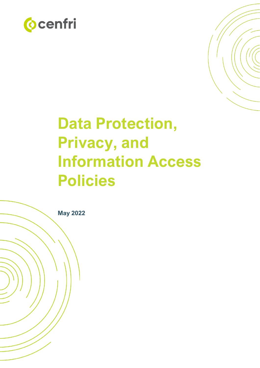



# **Data Protection, Privacy, and Information Access Policies**

**May 2022**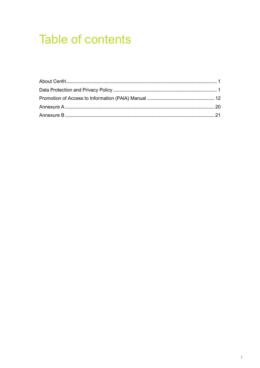## **Table of contents**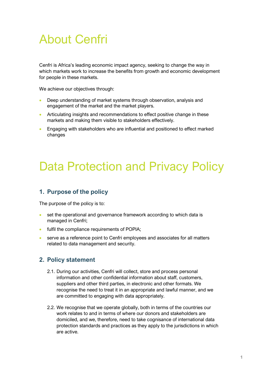## <span id="page-2-0"></span>About Cenfri

Cenfri is Africa's leading economic impact agency, seeking to change the way in which markets work to increase the benefits from growth and economic development for people in these markets.

We achieve our objectives through:

- Deep understanding of market systems through observation, analysis and engagement of the market and the market players.
- Articulating insights and recommendations to effect positive change in these markets and making them visible to stakeholders effectively.
- <span id="page-2-1"></span>• Engaging with stakeholders who are influential and positioned to effect marked changes

## Data Protection and Privacy Policy

## **1. Purpose of the policy**

The purpose of the policy is to:

- set the operational and governance framework according to which data is managed in Cenfri;
- fulfil the compliance requirements of POPIA;
- serve as a reference point to Cenfri employees and associates for all matters related to data management and security.

## **2. Policy statement**

- 2.1. During our activities, Cenfri will collect, store and process personal information and other confidential information about staff, customers, suppliers and other third parties, in electronic and other formats. We recognise the need to treat it in an appropriate and lawful manner, and we are committed to engaging with data appropriately.
- 2.2. We recognise that we operate globally, both in terms of the countries our work relates to and in terms of where our donors and stakeholders are domiciled, and we, therefore, need to take cognisance of international data protection standards and practices as they apply to the jurisdictions in which are active.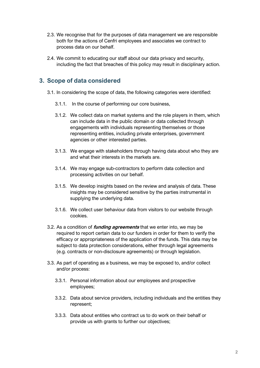- 2.3. We recognise that for the purposes of data management we are responsible both for the actions of Cenfri employees and associates we contract to process data on our behalf.
- 2.4. We commit to educating our staff about our data privacy and security, including the fact that breaches of this policy may result in disciplinary action.

## **3. Scope of data considered**

- 3.1. In considering the scope of data, the following categories were identified:
	- 3.1.1. In the course of performing our core business,
	- 3.1.2. We collect data on market systems and the role players in them, which can include data in the public domain or data collected through engagements with individuals representing themselves or those representing entities, including private enterprises, government agencies or other interested parties.
	- 3.1.3. We engage with stakeholders through having data about who they are and what their interests in the markets are.
	- 3.1.4. We may engage sub-contractors to perform data collection and processing activities on our behalf.
	- 3.1.5. We develop insights based on the review and analysis of data. These insights may be considered sensitive by the parties instrumental in supplying the underlying data.
	- 3.1.6. We collect user behaviour data from visitors to our website through cookies.
- 3.2. As a condition of **funding agreements** that we enter into, we may be required to report certain data to our funders in order for them to verify the efficacy or appropriateness of the application of the funds. This data may be subject to data protection considerations, either through legal agreements (e.g. contracts or non-disclosure agreements) or through legislation.
- 3.3. As part of operating as a business, we may be exposed to, and/or collect and/or process:
	- 3.3.1. Personal information about our employees and prospective employees;
	- 3.3.2. Data about service providers, including individuals and the entities they represent;
	- 3.3.3. Data about entities who contract us to do work on their behalf or provide us with grants to further our objectives;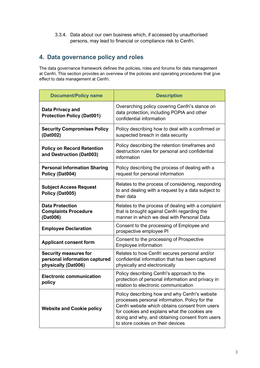3.3.4. Data about our own business which, if accessed by unauthorised persons, may lead to financial or compliance risk to Cenfri.

## **4. Data governance policy and roles**

The data governance framework defines the policies, roles and forums for data management at Cenfri. This section provides an overview of the policies and operating procedures that give effect to data management at Cenfri.

| <b>Document/Policy name</b>                                                          | <b>Description</b>                                                                                                                                                                                                                                                                           |
|--------------------------------------------------------------------------------------|----------------------------------------------------------------------------------------------------------------------------------------------------------------------------------------------------------------------------------------------------------------------------------------------|
| <b>Data Privacy and</b><br><b>Protection Policy (Dat001)</b>                         | Overarching policy covering Cenfri's stance on<br>data protection, including POPIA and other<br>confidential information                                                                                                                                                                     |
| <b>Security Compromises Policy</b><br>(Dat002)                                       | Policy describing how to deal with a confirmed or<br>suspected breach in data security                                                                                                                                                                                                       |
| <b>Policy on Record Retention</b><br>and Destruction (Dat003)                        | Policy describing the retention timeframes and<br>destruction rules for personal and confidential<br>information                                                                                                                                                                             |
| <b>Personal Information Sharing</b><br>Policy (Dat004)                               | Policy describing the process of dealing with a<br>request for personal information                                                                                                                                                                                                          |
| <b>Subject Access Request</b><br>Policy (Dat005)                                     | Relates to the process of considering, responding<br>to and dealing with a request by a data subject to<br>their data                                                                                                                                                                        |
| <b>Data Protection</b><br><b>Complaints Procedure</b><br>(Dat006)                    | Relates to the process of dealing with a complaint<br>that is brought against Cenfri regarding the<br>manner in which we deal with Personal Data                                                                                                                                             |
| <b>Employee Declaration</b>                                                          | Consent to the processing of Employee and<br>prospective employee PI                                                                                                                                                                                                                         |
| <b>Applicant consent form</b>                                                        | Consent to the processing of Prospective<br><b>Employee information</b>                                                                                                                                                                                                                      |
| <b>Security measures for</b><br>personal information captured<br>physically (Dat006) | Relates to how Cenfri secures personal and/or<br>confidential information that has been captured<br>physically and electronically                                                                                                                                                            |
| <b>Electronic communication</b><br>policy                                            | Policy describing Cenfri's approach to the<br>protection of personal information and privacy in<br>relation to electronic communication                                                                                                                                                      |
| <b>Website and Cookie policy</b>                                                     | Policy describing how and why Cenfri's website<br>processes personal information. Policy for the<br>Cenfri website which obtains consent from users<br>for cookies and explains what the cookies are<br>doing and why, and obtaining consent from users<br>to store cookies on their devices |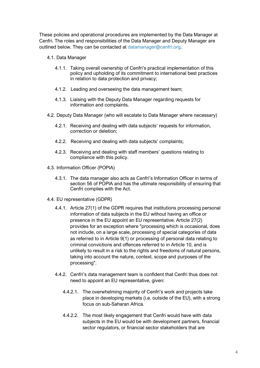These policies and operational procedures are implemented by the Data Manager at Cenfri. The roles and responsibilities of the Data Manager and Deputy Manager are outlined below. They can be contacted at [datamanager@cenfri.org.](mailto:datamanager@cenfri.org)

- 4.1. Data Manager
	- 4.1.1. Taking overall ownership of Cenfri's practical implementation of this policy and upholding of its commitment to international best practices in relation to data protection and privacy;
	- 4.1.2. Leading and overseeing the data management team;
	- 4.1.3. Liaising with the Deputy Data Manager regarding requests for information and complaints.
- 4.2. Deputy Data Manager (who will escalate to Data Manager where necessary)
	- 4.2.1. Receiving and dealing with data subjects' requests for information, correction or deletion;
	- 4.2.2. Receiving and dealing with data subjects' complaints;
	- 4.2.3. Receiving and dealing with staff members' questions relating to compliance with this policy.
- 4.3. Information Officer (POPIA)
	- 4.3.1. The data manager also acts as Cenfri's Information Officer in terms of section 56 of POPIA and has the ultimate responsibility of ensuring that Cenfri complies with the Act.
- 4.4. EU representative (GDPR)
	- 4.4.1. Article 27(1) of the GDPR requires that institutions processing personal information of data subjects in the EU without having an office or presence in the EU appoint an EU representative. Article 27(2) provides for an exception where "processing which is occasional, does not include, on a large scale, processing of special categories of data as referred to in Article 9(1) or processing of personal data relating to criminal convictions and offences referred to in Article 10, and is unlikely to result in a risk to the rights and freedoms of natural persons, taking into account the nature, context, scope and purposes of the processing".
	- 4.4.2. Cenfri's data management team is confident that Cenfri thus does not need to appoint an EU representative, given:
		- 4.4.2.1. The overwhelming majority of Cenfri's work and projects take place in developing markets (i.e. outside of the EU), with a strong focus on sub-Saharan Africa.
		- 4.4.2.2. The most likely engagement that Cenfri would have with data subjects in the EU would be with development partners, financial sector regulators, or financial sector stakeholders that are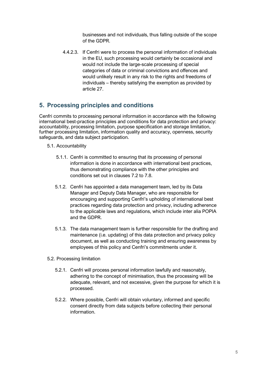businesses and not individuals, thus falling outside of the scope of the GDPR.

4.4.2.3. If Cenfri were to process the personal information of individuals in the EU, such processing would certainly be occasional and would not include the large-scale processing of special categories of data or criminal convictions and offences and would unlikely result in any risk to the rights and freedoms of individuals – thereby satisfying the exemption as provided by article 27.

## **5. Processing principles and conditions**

Cenfri commits to processing personal information in accordance with the following international best-practice principles and conditions for data protection and privacy: accountability, processing limitation, purpose specification and storage limitation, further processing limitation, information quality and accuracy, openness, security safeguards, and data subject participation.

- 5.1. Accountability
	- 5.1.1. Cenfri is committed to ensuring that its processing of personal information is done in accordance with international best practices, thus demonstrating compliance with the other principles and conditions set out in clauses 7.2 to 7.8.
	- 5.1.2. Cenfri has appointed a data management team, led by its Data Manager and Deputy Data Manager, who are responsible for encouraging and supporting Cenfri's upholding of international best practices regarding data protection and privacy, including adherence to the applicable laws and regulations, which include inter alia POPIA and the GDPR.
	- 5.1.3. The data management team is further responsible for the drafting and maintenance (i.e. updating) of this data protection and privacy policy document, as well as conducting training and ensuring awareness by employees of this policy and Cenfri's commitments under it.
- 5.2. Processing limitation
	- 5.2.1. Cenfri will process personal information lawfully and reasonably, adhering to the concept of minimisation, thus the processing will be adequate, relevant, and not excessive, given the purpose for which it is processed.
	- 5.2.2. Where possible, Cenfri will obtain voluntary, informed and specific consent directly from data subjects before collecting their personal information.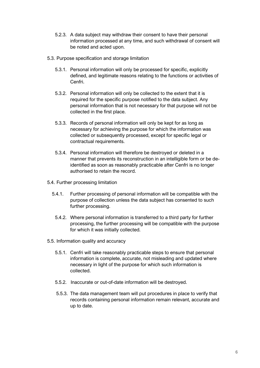- 5.2.3. A data subject may withdraw their consent to have their personal information processed at any time, and such withdrawal of consent will be noted and acted upon.
- 5.3. Purpose specification and storage limitation
	- 5.3.1. Personal information will only be processed for specific, explicitly defined, and legitimate reasons relating to the functions or activities of Cenfri.
	- 5.3.2. Personal information will only be collected to the extent that it is required for the specific purpose notified to the data subject. Any personal information that is not necessary for that purpose will not be collected in the first place.
	- 5.3.3. Records of personal information will only be kept for as long as necessary for achieving the purpose for which the information was collected or subsequently processed, except for specific legal or contractual requirements.
	- 5.3.4. Personal information will therefore be destroyed or deleted in a manner that prevents its reconstruction in an intelligible form or be deidentified as soon as reasonably practicable after Cenfri is no longer authorised to retain the record.
- 5.4. Further processing limitation
	- 5.4.1. Further processing of personal information will be compatible with the purpose of collection unless the data subject has consented to such further processing.
	- 5.4.2. Where personal information is transferred to a third party for further processing, the further processing will be compatible with the purpose for which it was initially collected.
- 5.5. Information quality and accuracy
	- 5.5.1. Cenfri will take reasonably practicable steps to ensure that personal information is complete, accurate, not misleading and updated where necessary in light of the purpose for which such information is collected.
	- 5.5.2. Inaccurate or out-of-date information will be destroyed.
	- 5.5.3. The data management team will put procedures in place to verify that records containing personal information remain relevant, accurate and up to date.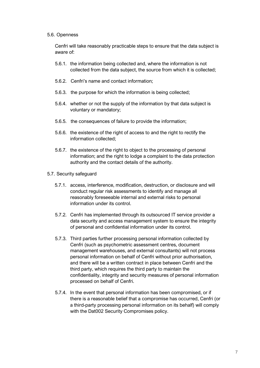#### 5.6. Openness

Cenfri will take reasonably practicable steps to ensure that the data subject is aware of:

- 5.6.1. the information being collected and, where the information is not collected from the data subject, the source from which it is collected;
- 5.6.2. Cenfri's name and contact information;
- 5.6.3. the purpose for which the information is being collected;
- 5.6.4. whether or not the supply of the information by that data subject is voluntary or mandatory;
- 5.6.5. the consequences of failure to provide the information;
- 5.6.6. the existence of the right of access to and the right to rectify the information collected;
- 5.6.7. the existence of the right to object to the processing of personal information; and the right to lodge a complaint to the data protection authority and the contact details of the authority.
- 5.7. Security safeguard
	- 5.7.1. access, interference, modification, destruction, or disclosure and will conduct regular risk assessments to identify and manage all reasonably foreseeable internal and external risks to personal information under its control.
	- 5.7.2. Cenfri has implemented through its outsourced IT service provider a data security and access management system to ensure the integrity of personal and confidential information under its control.
	- 5.7.3. Third parties further processing personal information collected by Cenfri (such as psychometric assessment centres, document management warehouses, and external consultants) will not process personal information on behalf of Cenfri without prior authorisation, and there will be a written contract in place between Cenfri and the third party, which requires the third party to maintain the confidentiality, integrity and security measures of personal information processed on behalf of Cenfri.
	- 5.7.4. In the event that personal information has been compromised, or if there is a reasonable belief that a compromise has occurred, Cenfri (or a third-party processing personal information on its behalf) will comply with the Dat002 Security Compromises policy.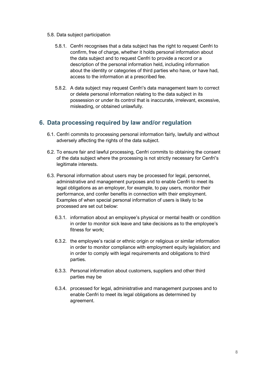- 5.8. Data subject participation
	- 5.8.1. Cenfri recognises that a data subject has the right to request Cenfri to confirm, free of charge, whether it holds personal information about the data subject and to request Cenfri to provide a record or a description of the personal information held, including information about the identity or categories of third parties who have, or have had, access to the information at a prescribed fee.
	- 5.8.2. A data subject may request Cenfri's data management team to correct or delete personal information relating to the data subject in its possession or under its control that is inaccurate, irrelevant, excessive, misleading, or obtained unlawfully.

## **6. Data processing required by law and/or regulation**

- 6.1. Cenfri commits to processing personal information fairly, lawfully and without adversely affecting the rights of the data subject.
- 6.2. To ensure fair and lawful processing, Cenfri commits to obtaining the consent of the data subject where the processing is not strictly necessary for Cenfri's legitimate interests.
- 6.3. Personal information about users may be processed for legal, personnel, administrative and management purposes and to enable Cenfri to meet its legal obligations as an employer, for example, to pay users, monitor their performance, and confer benefits in connection with their employment. Examples of when special personal information of users is likely to be processed are set out below:
	- 6.3.1. information about an employee's physical or mental health or condition in order to monitor sick leave and take decisions as to the employee's fitness for work;
	- 6.3.2. the employee's racial or ethnic origin or religious or similar information in order to monitor compliance with employment equity legislation; and in order to comply with legal requirements and obligations to third parties.
	- 6.3.3. Personal information about customers, suppliers and other third parties may be
	- 6.3.4. processed for legal, administrative and management purposes and to enable Cenfri to meet its legal obligations as determined by agreement.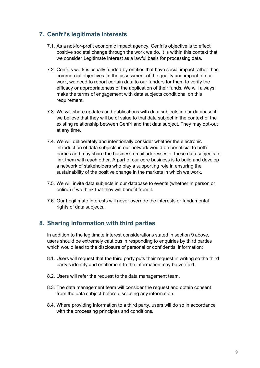## **7. Cenfri's legitimate interests**

- 7.1. As a not-for-profit economic impact agency, Cenfri's objective is to effect positive societal change through the work we do. It is within this context that we consider Legitimate Interest as a lawful basis for processing data.
- 7.2. Cenfri's work is usually funded by entities that have social impact rather than commercial objectives. In the assessment of the quality and impact of our work, we need to report certain data to our funders for them to verify the efficacy or appropriateness of the application of their funds. We will always make the terms of engagement with data subjects conditional on this requirement.
- 7.3. We will share updates and publications with data subjects in our database if we believe that they will be of value to that data subject in the context of the existing relationship between Cenfri and that data subject. They may opt-out at any time.
- 7.4. We will deliberately and intentionally consider whether the electronic introduction of data subjects in our network would be beneficial to both parties and may share the business email addresses of these data subjects to link them with each other. A part of our core business is to build and develop a network of stakeholders who play a supporting role in ensuring the sustainability of the positive change in the markets in which we work.
- 7.5. We will invite data subjects in our database to events (whether in person or online) if we think that they will benefit from it.
- 7.6. Our Legitimate Interests will never override the interests or fundamental rights of data subjects.

## **8. Sharing information with third parties**

In addition to the legitimate interest considerations stated in section 9 above, users should be extremely cautious in responding to enquiries by third parties which would lead to the disclosure of personal or confidential information:

- 8.1. Users will request that the third party puts their request in writing so the third party's identity and entitlement to the information may be verified.
- 8.2. Users will refer the request to the data management team.
- 8.3. The data management team will consider the request and obtain consent from the data subject before disclosing any information.
- 8.4. Where providing information to a third party, users will do so in accordance with the processing principles and conditions.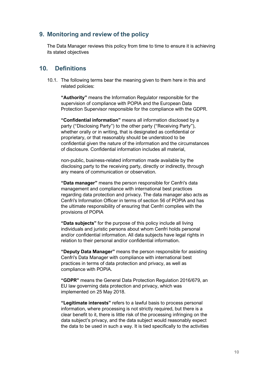## **9. Monitoring and review of the policy**

The Data Manager reviews this policy from time to time to ensure it is achieving its stated objectives

## **10. Definitions**

10.1. The following terms bear the meaning given to them here in this and related policies:

**"Authority"** means the Information Regulator responsible for the supervision of compliance with POPIA and the European Data Protection Supervisor responsible for the compliance with the GDPR.

**"Confidential information"** means all information disclosed by a party ("Disclosing Party") to the other party ("Receiving Party"), whether orally or in writing, that is designated as confidential or proprietary, or that reasonably should be understood to be confidential given the nature of the information and the circumstances of disclosure. Confidential information includes all material,

non-public, business-related information made available by the disclosing party to the receiving party, directly or indirectly, through any means of communication or observation.

**"Data manager"** means the person responsible for Cenfri's data management and compliance with international best practices regarding data protection and privacy. The data manager also acts as Cenfri's Information Officer in terms of section 56 of POPIA and has the ultimate responsibility of ensuring that Cenfri complies with the provisions of POPIA

**"Data subjects"** for the purpose of this policy include all living individuals and juristic persons about whom Cenfri holds personal and/or confidential information. All data subjects have legal rights in relation to their personal and/or confidential information.

**"Deputy Data Manager"** means the person responsible for assisting Cenfri's Data Manager with compliance with international best practices in terms of data protection and privacy, as well as compliance with POPIA.

**"GDPR"** means the General Data Protection Regulation 2016/679, an EU law governing data protection and privacy, which was implemented on 25 May 2018.

**"Legitimate interests"** refers to a lawful basis to process personal information, where processing is not strictly required, but there is a clear benefit to it, there is little risk of the processing infringing on the data subject's privacy, and the data subject would reasonably expect the data to be used in such a way. It is tied specifically to the activities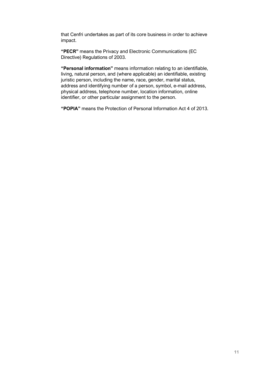that Cenfri undertakes as part of its core business in order to achieve impact.

**"PECR"** means the Privacy and Electronic Communications (EC Directive) Regulations of 2003.

**"Personal information"** means information relating to an identifiable, living, natural person, and (where applicable) an identifiable, existing juristic person, including the name, race, gender, marital status, address and identifying number of a person, symbol, e-mail address, physical address, telephone number, location information, online identifier, or other particular assignment to the person.

**"POPIA"** means the Protection of Personal Information Act 4 of 2013.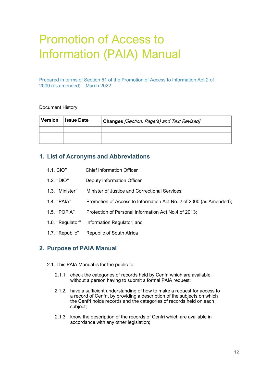## <span id="page-13-0"></span>Promotion of Access to Information (PAIA) Manual

Prepared in terms of Section 51 of the Promotion of Access to Information Act 2 of 2000 (as amended) – March 2022

#### Document History

| <b>Version</b> | <b>Issue Date</b> | Changes [Section, Page(s) and Text Revised] |  |
|----------------|-------------------|---------------------------------------------|--|
|                |                   |                                             |  |
|                |                   |                                             |  |
|                |                   |                                             |  |

### **1. List of Acronyms and Abbreviations**

| 1.1. CIO" | <b>Chief Information Officer</b> |
|-----------|----------------------------------|
|           |                                  |

- 1.2. "DIO" Deputy Information Officer
- 1.3. "Minister" Minister of Justice and Correctional Services;
- 1.4. "PAIA" Promotion of Access to Information Act No. 2 of 2000 (as Amended);
- 1.5. "POPIA" Protection of Personal Information Act No.4 of 2013;
- 1.6. "Regulator" Information Regulator; and
- 1.7. "Republic" Republic of South Africa

### **2. Purpose of PAIA Manual**

- 2.1. This PAIA Manual is for the public to-
	- 2.1.1. check the categories of records held by Cenfri which are available without a person having to submit a formal PAIA request;
	- 2.1.2. have a sufficient understanding of how to make a request for access to a record of Cenfri, by providing a description of the subjects on which the Cenfri holds records and the categories of records held on each subject;
	- 2.1.3. know the description of the records of Cenfri which are available in accordance with any other legislation;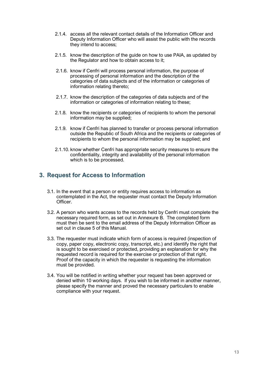- 2.1.4. access all the relevant contact details of the Information Officer and Deputy Information Officer who will assist the public with the records they intend to access;
- 2.1.5. know the description of the guide on how to use PAIA, as updated by the Regulator and how to obtain access to it;
- 2.1.6. know if Cenfri will process personal information, the purpose of processing of personal information and the description of the categories of data subjects and of the information or categories of information relating thereto;
- 2.1.7. know the description of the categories of data subjects and of the information or categories of information relating to these;
- 2.1.8. know the recipients or categories of recipients to whom the personal information may be supplied;
- 2.1.9. know if Cenfri has planned to transfer or process personal information outside the Republic of South Africa and the recipients or categories of recipients to whom the personal information may be supplied; and
- 2.1.10. know whether Cenfri has appropriate security measures to ensure the confidentiality, integrity and availability of the personal information which is to be processed.

## **3. Request for Access to Information**

- 3.1. In the event that a person or entity requires access to information as contemplated in the Act, the requester must contact the Deputy Information Officer.
- 3.2. A person who wants access to the records held by Cenfri must complete the necessary required form, as set out in Annexure B. The completed form must then be sent to the email address of the Deputy Information Officer as set out in clause 5 of this Manual.
- 3.3. The requester must indicate which form of access is required (inspection of copy, paper copy, electronic copy, transcript, etc.) and identify the right that is sought to be exercised or protected, providing an explanation for why the requested record is required for the exercise or protection of that right. Proof of the capacity in which the requester is requesting the information must be provided.
- 3.4. You will be notified in writing whether your request has been approved or denied within 10 working days. If you wish to be informed in another manner, please specify the manner and proved the necessary particulars to enable compliance with your request.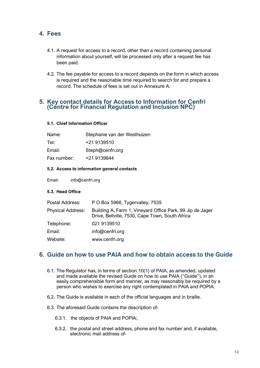## **4. Fees**

- 4.1. A request for access to a record, other than a record containing personal information about yourself, will be processed only after a request fee has been paid.
- 4.2. The fee payable for access to a record depends on the form in which access is required and the reasonable time required to search for and prepare a record. The schedule of fees is set out in Annexure A.

### **5. Key contact details for Access to Information for Cenfri (Centre for Financial Regulation and Inclusion NPC)**

### **5.1. Chief Information Officer**

| Name:       | Stephanie van der Westhuizen |
|-------------|------------------------------|
| Tel:        | +21 9139510                  |
| Email:      | Steph@cenfri.org             |
| Fax number: | +21 9139644                  |
|             |                              |

#### **5.2. Access to information general contacts**

Email: info@cenfri.org

#### **5.3. Head Office**

| Postal Address:          | P O Box 5966, Tygervalley, 7535                                                                              |
|--------------------------|--------------------------------------------------------------------------------------------------------------|
| <b>Physical Address:</b> | Building A, Farm 1, Vineyard Office Park, 99 Jip de Jager<br>Drive, Bellville, 7530, Cape Town, South Africa |
| Telephone:               | 021 9139510                                                                                                  |
| Email:                   | info@cenfri.org                                                                                              |
| Website:                 | www.cenfri.org                                                                                               |
|                          |                                                                                                              |

## **6. Guide on how to use PAIA and how to obtain access to the Guide**

- 6.1. The Regulator has, in terms of section 10(1) of PAIA, as amended, updated and made available the revised Guide on how to use PAIA ("Guide"), in an easily comprehensible form and manner, as may reasonably be required by a person who wishes to exercise any right contemplated in PAIA and POPIA.
- 6.2. The Guide is available in each of the official languages and in braille.
- 6.3. The aforesaid Guide contains the description of-
	- 6.3.1. the objects of PAIA and POPIA;
	- 6.3.2. the postal and street address, phone and fax number and, if available, electronic mail address of-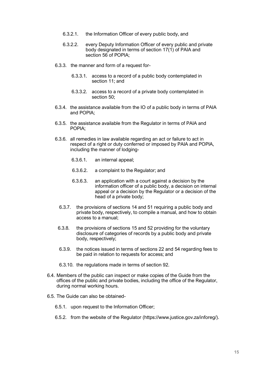- 6.3.2.1. the Information Officer of every public body, and
- 6.3.2.2. every Deputy Information Officer of every public and private body designated in terms of section 17(1) of PAIA and section 56 of POPIA;
- 6.3.3. the manner and form of a request for-
	- 6.3.3.1. access to a record of a public body contemplated in section 11; and
	- 6.3.3.2. access to a record of a private body contemplated in section 50;
- 6.3.4. the assistance available from the IO of a public body in terms of PAIA and POPIA;
- 6.3.5. the assistance available from the Regulator in terms of PAIA and POPIA;
- 6.3.6. all remedies in law available regarding an act or failure to act in respect of a right or duty conferred or imposed by PAIA and POPIA, including the manner of lodging-
	- 6.3.6.1. an internal appeal;
	- 6.3.6.2. a complaint to the Regulator; and
	- 6.3.6.3. an application with a court against a decision by the information officer of a public body, a decision on internal appeal or a decision by the Regulator or a decision of the head of a private body;
	- 6.3.7. the provisions of sections 14 and 51 requiring a public body and private body, respectively, to compile a manual, and how to obtain access to a manual;
	- 6.3.8. the provisions of sections 15 and 52 providing for the voluntary disclosure of categories of records by a public body and private body, respectively;
	- 6.3.9. the notices issued in terms of sections 22 and 54 regarding fees to be paid in relation to requests for access; and
	- 6.3.10. the regulations made in terms of section 92.
- 6.4. Members of the public can inspect or make copies of the Guide from the offices of the public and private bodies, including the office of the Regulator, during normal working hours.
- 6.5. The Guide can also be obtained-
	- 6.5.1. upon request to the Information Officer;
	- 6.5.2. from the website of the Regulator (https://www.justice.gov.za/inforeg/).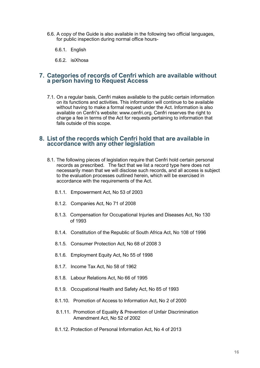- 6.6. A copy of the Guide is also available in the following two official languages, for public inspection during normal office hours-
	- 6.6.1. English
	- 6.6.2. isiXhosa

### **7. Categories of records of Cenfri which are available without a person having to Request Access**

7.1. On a regular basis, Cenfri makes available to the public certain information on its functions and activities. This information will continue to be available without having to make a formal request under the Act. Information is also available on Cenfri's website: www.cenfri.org. Cenfri reserves the right to charge a fee in terms of the Act for requests pertaining to information that falls outside of this scope.

#### **8. List of the records which Cenfri hold that are available in accordance with any other legislation**

- 8.1. The following pieces of legislation require that Cenfri hold certain personal records as prescribed. The fact that we list a record type here does not necessarily mean that we will disclose such records, and all access is subject to the evaluation processes outlined herein, which will be exercised in accordance with the requirements of the Act.
	- 8.1.1. Empowerment Act, No 53 of 2003
	- 8.1.2. Companies Act, No 71 of 2008
	- 8.1.3. Compensation for Occupational Injuries and Diseases Act, No 130 of 1993
	- 8.1.4. Constitution of the Republic of South Africa Act, No 108 of 1996
	- 8.1.5. Consumer Protection Act, No 68 of 2008 3
	- 8.1.6. Employment Equity Act, No 55 of 1998
	- 8.1.7. Income Tax Act, No 58 of 1962
	- 8.1.8. Labour Relations Act, No 66 of 1995
	- 8.1.9. Occupational Health and Safety Act, No 85 of 1993
	- 8.1.10. Promotion of Access to Information Act, No 2 of 2000
	- 8.1.11. Promotion of Equality & Prevention of Unfair Discrimination Amendment Act, No 52 of 2002
	- 8.1.12. Protection of Personal Information Act, No 4 of 2013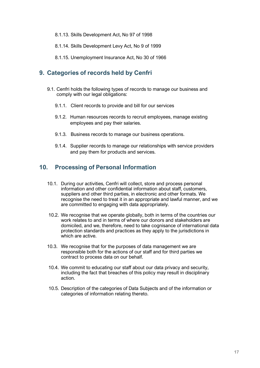- 8.1.13. Skills Development Act, No 97 of 1998
- 8.1.14. Skills Development Levy Act, No 9 of 1999
- 8.1.15. Unemployment Insurance Act, No 30 of 1966

## **9. Categories of records held by Cenfri**

- 9.1. Cenfri holds the following types of records to manage our business and comply with our legal obligations:
	- 9.1.1. Client records to provide and bill for our services
	- 9.1.2. Human resources records to recruit employees, manage existing employees and pay their salaries.
	- 9.1.3. Business records to manage our business operations.
	- 9.1.4. Supplier records to manage our relationships with service providers and pay them for products and services.

## **10. Processing of Personal Information**

- 10.1. During our activities, Cenfri will collect, store and process personal information and other confidential information about staff, customers, suppliers and other third parties, in electronic and other formats. We recognise the need to treat it in an appropriate and lawful manner, and we are committed to engaging with data appropriately.
- 10.2. We recognise that we operate globally, both in terms of the countries our work relates to and in terms of where our donors and stakeholders are domiciled, and we, therefore, need to take cognisance of international data protection standards and practices as they apply to the jurisdictions in which are active.
- 10.3. We recognise that for the purposes of data management we are responsible both for the actions of our staff and for third parties we contract to process data on our behalf.
- 10.4. We commit to educating our staff about our data privacy and security, including the fact that breaches of this policy may result in disciplinary action.
- 10.5. Description of the categories of Data Subjects and of the information or categories of information relating thereto.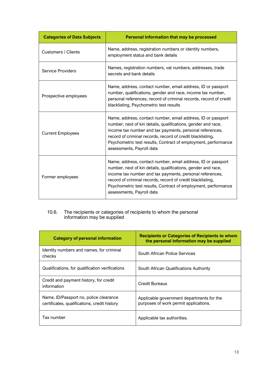| <b>Categories of Data Subjects</b> | Personal Information that may be processed                                                                                                                                                                                                                                                                                                             |
|------------------------------------|--------------------------------------------------------------------------------------------------------------------------------------------------------------------------------------------------------------------------------------------------------------------------------------------------------------------------------------------------------|
| <b>Customers / Clients</b>         | Name, address, registration numbers or identity numbers,<br>employment status and bank details                                                                                                                                                                                                                                                         |
| <b>Service Providers</b>           | Names, registration numbers, vat numbers, addresses, trade<br>secrets and bank details                                                                                                                                                                                                                                                                 |
| Prospective employees              | Name, address, contact number, email address, ID or passport<br>number, qualifications, gender and race, income tax number,<br>personal references, record of criminal records, record of credit<br>blacklisting, Psychometric test results                                                                                                            |
| <b>Current Employees</b>           | Name, address, contact number, email address, ID or passport<br>number, next of kin details, qualifications, gender and race,<br>income tax number and tax payments, personal references,<br>record of criminal records, record of credit blacklisting,<br>Psychometric test results, Contract of employment, performance<br>assessments, Payroll data |
| Former employees                   | Name, address, contact number, email address, ID or passport<br>number, next of kin details, qualifications, gender and race,<br>income tax number and tax payments, personal references,<br>record of criminal records, record of credit blacklisting,<br>Psychometric test results, Contract of employment, performance<br>assessments, Payroll data |

#### 10.6. The recipients or categories of recipients to whom the personal information may be supplied

| <b>Category of personal information</b>                                                | <b>Recipients or Categories of Recipients to whom</b><br>the personal information may be supplied |
|----------------------------------------------------------------------------------------|---------------------------------------------------------------------------------------------------|
| Identity numbers and names, for criminal<br>checks                                     | South African Police Services                                                                     |
| Qualifications, for qualification verifications                                        | South African Qualifications Authority                                                            |
| Credit and payment history, for credit<br>information                                  | Credit Bureaus                                                                                    |
| Name, ID/Passport no, police clearance<br>certificates, qualifications, credit history | Applicable government departments for the<br>purposes of work permit applications.                |
| Tax number                                                                             | Applicable tax authorities.                                                                       |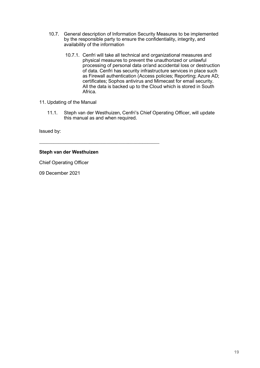- 10.7. General description of Information Security Measures to be implemented by the responsible party to ensure the confidentiality, integrity, and availability of the information
	- 10.7.1. Cenfri will take all technical and organizational measures and physical measures to prevent the unauthorized or unlawful processing of personal data or/and accidental loss or destruction of data. Cenfri has security infrastructure services in place such as Firewall authentication (Access policies; Reporting; Azure AD; certificates; Sophos antivirus and Mimecast for email security. All the data is backed up to the Cloud which is stored in South Africa.
- 11. Updating of the Manual
	- 11.1. Steph van der Westhuizen, Cenfri's Chief Operating Officer, will update this manual as and when required.

Issued by:

### **Steph van der Westhuizen**

\_\_\_\_\_\_\_\_\_\_\_\_\_\_\_\_\_\_\_\_\_\_\_\_\_\_\_\_\_\_\_\_\_\_\_\_\_\_\_\_\_\_\_\_\_\_\_\_\_\_

Chief Operating Officer

09 December 2021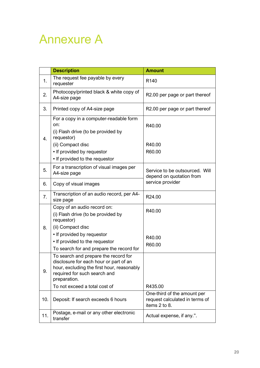## <span id="page-21-0"></span>Annexure A

|     | <b>Description</b>                                                                                                                                                           | <b>Amount</b>                                                                  |
|-----|------------------------------------------------------------------------------------------------------------------------------------------------------------------------------|--------------------------------------------------------------------------------|
| 1.  | The request fee payable by every<br>requester                                                                                                                                | R <sub>140</sub>                                                               |
| 2.  | Photocopy/printed black & white copy of<br>A4-size page                                                                                                                      | R2.00 per page or part thereof                                                 |
| 3.  | Printed copy of A4-size page                                                                                                                                                 | R2.00 per page or part thereof                                                 |
| 4.  | For a copy in a computer-readable form<br>on:<br>(i) Flash drive (to be provided by<br>requestor)<br>(ii) Compact disc<br>• If provided by requestor                         | R40.00<br>R40.00<br>R60.00                                                     |
|     | • If provided to the requestor                                                                                                                                               |                                                                                |
| 5.  | For a transcription of visual images per<br>A4-size page                                                                                                                     | Service to be outsourced. Will<br>depend on quotation from                     |
| 6.  | Copy of visual images                                                                                                                                                        | service provider                                                               |
| 7.  | Transcription of an audio record, per A4-<br>size page                                                                                                                       | R24.00                                                                         |
|     | Copy of an audio record on:<br>(i) Flash drive (to be provided by<br>requestor)                                                                                              | R40.00                                                                         |
| 8.  | (ii) Compact disc<br>• If provided by requestor<br>• If provided to the requestor<br>To search for and prepare the record for                                                | R40.00<br>R60.00                                                               |
| 9.  | To search and prepare the record for<br>disclosure for each hour or part of an<br>hour, excluding the first hour, reasonably<br>required for such search and<br>preparation. |                                                                                |
|     | To not exceed a total cost of                                                                                                                                                | R435.00                                                                        |
| 10. | Deposit: If search exceeds 6 hours                                                                                                                                           | One-third of the amount per<br>request calculated in terms of<br>items 2 to 8. |
| 11. | Postage, e-mail or any other electronic<br>transfer                                                                                                                          | Actual expense, if any.".                                                      |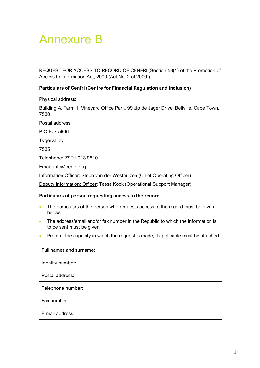## <span id="page-22-0"></span>Annexure B

REQUEST FOR ACCESS TO RECORD OF CENFRI (Section 53(1) of the Promotion of Access to Information Act, 2000 (Act No. 2 of 2000))

### **Particulars of Cenfri (Centre for Financial Regulation and Inclusion)**

Physical address:

Building A, Farm 1, Vineyard Office Park, 99 Jip de Jager Drive, Bellville, Cape Town, 7530

Postal address:

P O Box 5966

**Tygervalley** 

7535

Telephone: 27 21 913 9510

Email: info@cenfri.org

Information Officer: Steph van der Westhuizen (Chief Operating Officer)

Deputy Information: Officer: Tessa Kock (Operational Support Manager)

#### **Particulars of person requesting access to the record**

- The particulars of the person who requests access to the record must be given below.
- The address/email and/or fax number in the Republic to which the information is to be sent must be given.
- Proof of the capacity in which the request is made, if applicable must be attached.

| Full names and surname: |  |
|-------------------------|--|
| Identity number:        |  |
| Postal address:         |  |
| Telephone number:       |  |
| Fax number              |  |
| E-mail address:         |  |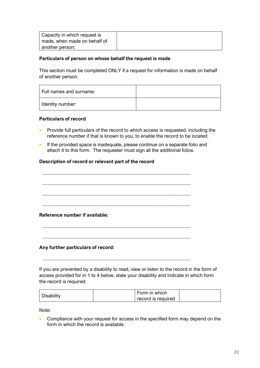| Capacity in which request is |  |
|------------------------------|--|
| made, when made on behalf of |  |
| another person:              |  |

#### **Particulars of person on whose behalf the request is made**

This section must be completed ONLY if a request for information is made on behalf of another person.

| Full names and surname: |  |
|-------------------------|--|
| Identity number:        |  |

### **Particulars of record**

- Provide full particulars of the record to which access is requested, including the reference number if that is known to you, to enable the record to be located.
- If the provided space is inadequate, please continue on a separate folio and attach it to this form. The requester must sign all the additional folios.

### **Description of record or relevant part of the record**



\_\_\_\_\_\_\_\_\_\_\_\_\_\_\_\_\_\_\_\_\_\_\_\_\_\_\_\_\_\_\_\_\_\_\_\_\_\_\_\_\_\_\_\_\_\_\_\_\_\_\_\_\_\_\_\_\_\_\_\_\_\_\_\_\_\_\_\_

\_\_\_\_\_\_\_\_\_\_\_\_\_\_\_\_\_\_\_\_\_\_\_\_\_\_\_\_\_\_\_\_\_\_\_\_\_\_\_\_\_\_\_\_\_\_\_\_\_\_\_\_\_\_\_\_\_\_\_\_\_\_\_\_\_\_\_\_

### **Any further particulars of record:**

If you are prevented by a disability to read, view or listen to the record in the form of access provided for in 1 to 4 below, state your disability and indicate in which form the record is required.

| Disability | Form in which      |  |
|------------|--------------------|--|
|            | record is required |  |

Note:

• Compliance with your request for access in the specified form may depend on the form in which the record is available.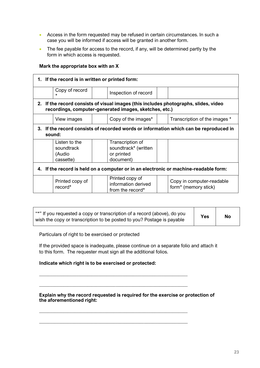- Access in the form requested may be refused in certain circumstances. In such a case you will be informed if access will be granted in another form.
- The fee payable for access to the record, if any, will be determined partly by the form in which access is requested.

### **Mark the appropriate box with an X**

| 1. If the record is in written or printed form:                                                                                                |                                                    |                                                                     |                                                               |  |  |  |
|------------------------------------------------------------------------------------------------------------------------------------------------|----------------------------------------------------|---------------------------------------------------------------------|---------------------------------------------------------------|--|--|--|
|                                                                                                                                                | Copy of record<br>$\star$                          | Inspection of record                                                |                                                               |  |  |  |
| 2. If the record consists of visual images (this includes photographs, slides, video<br>recordings, computer-generated images, sketches, etc.) |                                                    |                                                                     |                                                               |  |  |  |
|                                                                                                                                                | View images                                        | Copy of the images*                                                 | Transcription of the images *                                 |  |  |  |
| 3. If the record consists of recorded words or information which can be reproduced in<br>sound:                                                |                                                    |                                                                     |                                                               |  |  |  |
|                                                                                                                                                | Listen to the<br>soundtrack<br>(Audio<br>cassette) | Transcription of<br>soundtrack* (written<br>or printed<br>document) |                                                               |  |  |  |
| 4. If the record is held on a computer or in an electronic or machine-readable form:                                                           |                                                    |                                                                     |                                                               |  |  |  |
|                                                                                                                                                | Printed copy of<br>record*                         | Printed copy of<br>information derived<br>from the record*          | Copy in computer-readable<br>form <sup>*</sup> (memory stick) |  |  |  |

| "*" If you requested a copy or transcription of a record (above), do you<br>wish the copy or transcription to be posted to you? Postage is payable | <b>Yes</b> | <b>No</b> |
|----------------------------------------------------------------------------------------------------------------------------------------------------|------------|-----------|
|----------------------------------------------------------------------------------------------------------------------------------------------------|------------|-----------|

Particulars of right to be exercised or protected

If the provided space is inadequate, please continue on a separate folio and attach it to this form. The requester must sign all the additional folios.

#### **Indicate which right is to be exercised or protected:**

\_\_\_\_\_\_\_\_\_\_\_\_\_\_\_\_\_\_\_\_\_\_\_\_\_\_\_\_\_\_\_\_\_\_\_\_\_\_\_\_\_\_\_\_\_\_\_\_\_\_\_\_\_\_\_\_\_\_\_\_\_\_\_\_\_\_\_\_

\_\_\_\_\_\_\_\_\_\_\_\_\_\_\_\_\_\_\_\_\_\_\_\_\_\_\_\_\_\_\_\_\_\_\_\_\_\_\_\_\_\_\_\_\_\_\_\_\_\_\_\_\_\_\_\_\_\_\_\_\_\_\_\_\_\_\_\_

\_\_\_\_\_\_\_\_\_\_\_\_\_\_\_\_\_\_\_\_\_\_\_\_\_\_\_\_\_\_\_\_\_\_\_\_\_\_\_\_\_\_\_\_\_\_\_\_\_\_\_\_\_\_\_\_\_\_\_\_\_\_\_\_\_\_\_\_

\_\_\_\_\_\_\_\_\_\_\_\_\_\_\_\_\_\_\_\_\_\_\_\_\_\_\_\_\_\_\_\_\_\_\_\_\_\_\_\_\_\_\_\_\_\_\_\_\_\_\_\_\_\_\_\_\_\_\_\_\_\_\_\_\_\_\_\_

#### **Explain why the record requested is required for the exercise or protection of the aforementioned right:**